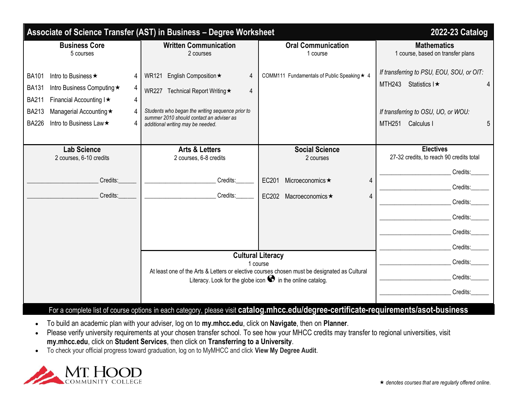| Associate of Science Transfer (AST) in Business - Degree Worksheet                                                                                                                                                                           | <b>2022-23 Catalog</b>                                                                                                                                                                                                             |                                                                                                                                                                    |                                                                                                                                                         |
|----------------------------------------------------------------------------------------------------------------------------------------------------------------------------------------------------------------------------------------------|------------------------------------------------------------------------------------------------------------------------------------------------------------------------------------------------------------------------------------|--------------------------------------------------------------------------------------------------------------------------------------------------------------------|---------------------------------------------------------------------------------------------------------------------------------------------------------|
| <b>Business Core</b><br>5 courses                                                                                                                                                                                                            | <b>Written Communication</b><br>2 courses                                                                                                                                                                                          | <b>Oral Communication</b><br>1 course                                                                                                                              | <b>Mathematics</b><br>1 course, based on transfer plans                                                                                                 |
| <b>BA101</b><br>Intro to Business ★<br>4<br>Intro Business Computing *<br><b>BA131</b><br>4<br><b>BA211</b><br>Financial Accounting I ★<br>4<br><b>BA213</b><br>Managerial Accounting ★<br>4<br><b>BA226</b><br>Intro to Business Law ★<br>4 | English Composition ★<br>4<br><b>WR121</b><br>Technical Report Writing ★<br>4<br><b>WR227</b><br>Students who began the writing sequence prior to<br>summer 2010 should contact an adviser as<br>additional writing may be needed. | COMM111 Fundamentals of Public Speaking ★ 4                                                                                                                        | If transferring to PSU, EOU, SOU, or OIT:<br><b>MTH243</b><br>Statistics I ★<br>If transferring to OSU, UO, or WOU:<br><b>MTH251</b><br>Calculus I<br>5 |
| <b>Lab Science</b><br>2 courses, 6-10 credits<br>Credits:<br>Credits:                                                                                                                                                                        | <b>Arts &amp; Letters</b><br>2 courses, 6-8 credits<br>Credits:<br>Credits:                                                                                                                                                        | <b>Social Science</b><br>2 courses<br>EC201<br>Microeconomics ★<br>4<br>EC202<br>Macroeconomics ★<br>4                                                             | <b>Electives</b><br>27-32 credits, to reach 90 credits total<br>Credits:<br>Credits:                                                                    |
|                                                                                                                                                                                                                                              |                                                                                                                                                                                                                                    | <b>Cultural Literacy</b><br>1 course                                                                                                                               | Credits:<br>Credits:<br>Credits:<br>Credits:<br>Credits:                                                                                                |
|                                                                                                                                                                                                                                              |                                                                                                                                                                                                                                    | At least one of the Arts & Letters or elective courses chosen must be designated as Cultural<br>Literacy. Look for the globe icon $\bullet$ in the online catalog. | Credits:<br>Credits:                                                                                                                                    |

## For a complete list of course options in each category, please visit **catalog.mhcc.edu/degree-certificate-requirements/asot-business**

- To build an academic plan with your adviser, log on to **my.mhcc.edu**, click on **Navigate**, then on **Planner**.
- Please verify university requirements at your chosen transfer school. To see how your MHCC credits may transfer to regional universities, visit **my.mhcc.edu**, click on **Student Services**, then click on **Transferring to a University**.
- To check your official progress toward graduation, log on to MyMHCC and click **View My Degree Audit**.